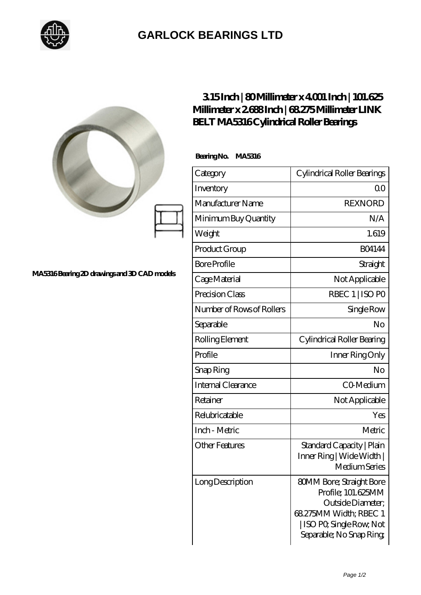

## **[GARLOCK BEARINGS LTD](https://m.letterstopriests.com)**

| $315$ Inch $ 80$ Millimeter x 4001 Inch $ 101.625$<br>Millimeter x 2688Inch   68275Millimeter LINK<br><b>BELT MA5316Cylindrical Roller Bearings</b> |                             |                                                                                                                                                            |
|-----------------------------------------------------------------------------------------------------------------------------------------------------|-----------------------------|------------------------------------------------------------------------------------------------------------------------------------------------------------|
|                                                                                                                                                     | BearingNo.<br><b>MA5316</b> |                                                                                                                                                            |
|                                                                                                                                                     | Category                    | Cylindrical Roller Bearings                                                                                                                                |
|                                                                                                                                                     | Inventory                   | 0 <sup>0</sup>                                                                                                                                             |
|                                                                                                                                                     | Manufacturer Name           | <b>REXNORD</b>                                                                                                                                             |
|                                                                                                                                                     | Minimum Buy Quantity        | N/A                                                                                                                                                        |
|                                                                                                                                                     | Weight                      | 1.619                                                                                                                                                      |
|                                                                                                                                                     | Product Group               | <b>BO4144</b>                                                                                                                                              |
| MA5316Bearing 2D drawings and 3D CAD models                                                                                                         | <b>Bore Profile</b>         | Straight                                                                                                                                                   |
|                                                                                                                                                     | Cage Material               | Not Applicable                                                                                                                                             |
|                                                                                                                                                     | Precision Class             | RBEC 1   ISO PO                                                                                                                                            |
|                                                                                                                                                     | Number of Rows of Rollers   | Single Row                                                                                                                                                 |
|                                                                                                                                                     | Separable                   | No                                                                                                                                                         |
|                                                                                                                                                     | Rolling Element             | Cylindrical Roller Bearing                                                                                                                                 |
|                                                                                                                                                     | Profile                     | Inner Ring Only                                                                                                                                            |
|                                                                                                                                                     | Snap Ring                   | No                                                                                                                                                         |
|                                                                                                                                                     | Internal Clearance          | CO-Medium                                                                                                                                                  |
|                                                                                                                                                     | Retainer                    | Not Applicable                                                                                                                                             |
|                                                                                                                                                     | Relubricatable              | Yes                                                                                                                                                        |
|                                                                                                                                                     | Inch - Metric               | Metric                                                                                                                                                     |
|                                                                                                                                                     | <b>Other Features</b>       | Standard Capacity   Plain<br>Inner Ring   Wide Width  <br>Medium Series                                                                                    |
|                                                                                                                                                     | Long Description            | <b>80MM Bore; Straight Bore</b><br>Profile; 101.625MM<br>Outside Diameter;<br>68.275MM Width; RBEC 1<br>ISO PO, Single Row, Not<br>Separable; No Snap Ring |